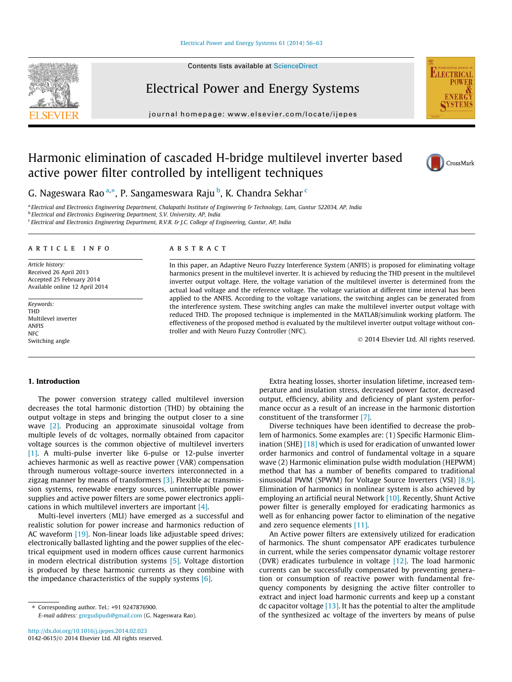#### [Electrical Power and Energy Systems 61 \(2014\) 56–63](http://dx.doi.org/10.1016/j.ijepes.2014.02.023)

Contents lists available at [ScienceDirect](http://www.sciencedirect.com/science/journal/01420615)



Electrical Power and Energy Systems

journal homepage: [www.elsevier.com/locate/ijepes](http://www.elsevier.com/locate/ijepes)

# Harmonic elimination of cascaded H-bridge multilevel inverter based active power filter controlled by intelligent techniques



CrossMark

**ELECTRICA** 



a Electrical and Electronics Engineering Department, Chalapathi Institute of Engineering & Technology, Lam, Guntur 522034, AP, India

**b** Electrical and Electronics Engineering Department, S.V. University, AP, India

<sup>c</sup> Electrical and Electronics Engineering Department, R.V.R. & J.C. College of Engineering, Guntur, AP, India

## article info

Article history: Received 26 April 2013 Accepted 25 February 2014 Available online 12 April 2014

Keywords: THD Multilevel inverter ANFIS **NFC** Switching angle

# ABSTRACT

In this paper, an Adaptive Neuro Fuzzy Interference System (ANFIS) is proposed for eliminating voltage harmonics present in the multilevel inverter. It is achieved by reducing the THD present in the multilevel inverter output voltage. Here, the voltage variation of the multilevel inverter is determined from the actual load voltage and the reference voltage. The voltage variation at different time interval has been applied to the ANFIS. According to the voltage variations, the switching angles can be generated from the interference system. These switching angles can make the multilevel inverter output voltage with reduced THD. The proposed technique is implemented in the MATLAB/simulink working platform. The effectiveness of the proposed method is evaluated by the multilevel inverter output voltage without controller and with Neuro Fuzzy Controller (NFC).

- 2014 Elsevier Ltd. All rights reserved.

### 1. Introduction

The power conversion strategy called multilevel inversion decreases the total harmonic distortion (THD) by obtaining the output voltage in steps and bringing the output closer to a sine wave [\[2\].](#page--1-0) Producing an approximate sinusoidal voltage from multiple levels of dc voltages, normally obtained from capacitor voltage sources is the common objective of multilevel inverters [\[1\]](#page--1-0). A multi-pulse inverter like 6-pulse or 12-pulse inverter achieves harmonic as well as reactive power (VAR) compensation through numerous voltage-source inverters interconnected in a zigzag manner by means of transformers [\[3\].](#page--1-0) Flexible ac transmission systems, renewable energy sources, uninterruptible power supplies and active power filters are some power electronics applications in which multilevel inverters are important [\[4\].](#page--1-0)

Multi-level inverters (MLI) have emerged as a successful and realistic solution for power increase and harmonics reduction of AC waveform [\[19\].](#page--1-0) Non-linear loads like adjustable speed drives; electronically ballasted lighting and the power supplies of the electrical equipment used in modern offices cause current harmonics in modern electrical distribution systems [\[5\].](#page--1-0) Voltage distortion is produced by these harmonic currents as they combine with the impedance characteristics of the supply systems [\[6\]](#page--1-0).

Extra heating losses, shorter insulation lifetime, increased temperature and insulation stress, decreased power factor, decreased output, efficiency, ability and deficiency of plant system performance occur as a result of an increase in the harmonic distortion constituent of the transformer [\[7\]](#page--1-0).

Diverse techniques have been identified to decrease the problem of harmonics. Some examples are: (1) Specific Harmonic Elimination (SHE} [\[18\]](#page--1-0) which is used for eradication of unwanted lower order harmonics and control of fundamental voltage in a square wave (2) Harmonic elimination pulse width modulation (HEPWM) method that has a number of benefits compared to traditional sinusoidal PWM (SPWM) for Voltage Source Inverters (VSI) [\[8,9\].](#page--1-0) Elimination of harmonics in nonlinear system is also achieved by employing an artificial neural Network [\[10\].](#page--1-0) Recently, Shunt Active power filter is generally employed for eradicating harmonics as well as for enhancing power factor to elimination of the negative and zero sequence elements [\[11\].](#page--1-0)

An Active power filters are extensively utilized for eradication of harmonics. The shunt compensator APF eradicates turbulence in current, while the series compensator dynamic voltage restorer (DVR) eradicates turbulence in voltage [\[12\]](#page--1-0). The load harmonic currents can be successfully compensated by preventing generation or consumption of reactive power with fundamental frequency components by designing the active filter controller to extract and inject load harmonic currents and keep up a constant dc capacitor voltage  $[13]$ . It has the potential to alter the amplitude of the synthesized ac voltage of the inverters by means of pulse

<sup>⇑</sup> Corresponding author. Tel.: +91 9247876900. E-mail address: [gnrgudipudi@gmail.com](mailto:gnrgudipudi@gmail.com) (G. Nageswara Rao).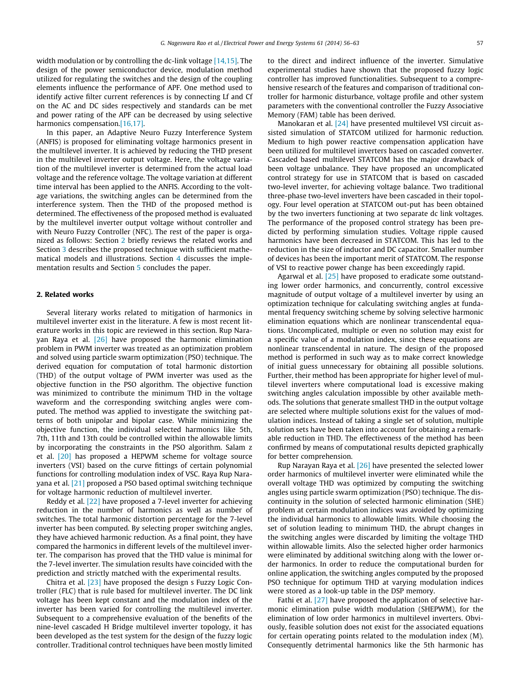width modulation or by controlling the dc-link voltage [\[14,15\].](#page--1-0) The design of the power semiconductor device, modulation method utilized for regulating the switches and the design of the coupling elements influence the performance of APF. One method used to identify active filter current references is by connecting Lf and Cf on the AC and DC sides respectively and standards can be met and power rating of the APF can be decreased by using selective harmonics compensation.[\[16,17\].](#page--1-0)

In this paper, an Adaptive Neuro Fuzzy Interference System (ANFIS) is proposed for eliminating voltage harmonics present in the multilevel inverter. It is achieved by reducing the THD present in the multilevel inverter output voltage. Here, the voltage variation of the multilevel inverter is determined from the actual load voltage and the reference voltage. The voltage variation at different time interval has been applied to the ANFIS. According to the voltage variations, the switching angles can be determined from the interference system. Then the THD of the proposed method is determined. The effectiveness of the proposed method is evaluated by the multilevel inverter output voltage without controller and with Neuro Fuzzy Controller (NFC). The rest of the paper is organized as follows: Section 2 briefly reviews the related works and Section [3](#page--1-0) describes the proposed technique with sufficient mathematical models and illustrations. Section [4](#page--1-0) discusses the implementation results and Section [5](#page--1-0) concludes the paper.

#### 2. Related works

Several literary works related to mitigation of harmonics in multilevel inverter exist in the literature. A few is most recent literature works in this topic are reviewed in this section. Rup Narayan Raya et al. [\[26\]](#page--1-0) have proposed the harmonic elimination problem in PWM inverter was treated as an optimization problem and solved using particle swarm optimization (PSO) technique. The derived equation for computation of total harmonic distortion (THD) of the output voltage of PWM inverter was used as the objective function in the PSO algorithm. The objective function was minimized to contribute the minimum THD in the voltage waveform and the corresponding switching angles were computed. The method was applied to investigate the switching patterns of both unipolar and bipolar case. While minimizing the objective function, the individual selected harmonics like 5th, 7th, 11th and 13th could be controlled within the allowable limits by incorporating the constraints in the PSO algorithm. Salam z et al. [\[20\]](#page--1-0) has proposed a HEPWM scheme for voltage source inverters (VSI) based on the curve fittings of certain polynomial functions for controlling modulation index of VSC. Raya Rup Narayana et al. [\[21\]](#page--1-0) proposed a PSO based optimal switching technique for voltage harmonic reduction of multilevel inverter.

Reddy et al. [\[22\]](#page--1-0) have proposed a 7-level inverter for achieving reduction in the number of harmonics as well as number of switches. The total harmonic distortion percentage for the 7-level inverter has been computed. By selecting proper switching angles, they have achieved harmonic reduction. As a final point, they have compared the harmonics in different levels of the multilevel inverter. The comparison has proved that the THD value is minimal for the 7-level inverter. The simulation results have coincided with the prediction and strictly matched with the experimental results.

Chitra et al. [\[23\]](#page--1-0) have proposed the design s Fuzzy Logic Controller (FLC) that is rule based for multilevel inverter. The DC link voltage has been kept constant and the modulation index of the inverter has been varied for controlling the multilevel inverter. Subsequent to a comprehensive evaluation of the benefits of the nine-level cascaded H Bridge multilevel inverter topology, it has been developed as the test system for the design of the fuzzy logic controller. Traditional control techniques have been mostly limited to the direct and indirect influence of the inverter. Simulative experimental studies have shown that the proposed fuzzy logic controller has improved functionalities. Subsequent to a comprehensive research of the features and comparison of traditional controller for harmonic disturbance, voltage profile and other system parameters with the conventional controller the Fuzzy Associative Memory (FAM) table has been derived.

Manokaran et al. [\[24\]](#page--1-0) have presented multilevel VSI circuit assisted simulation of STATCOM utilized for harmonic reduction. Medium to high power reactive compensation application have been utilized for multilevel inverters based on cascaded converter. Cascaded based multilevel STATCOM has the major drawback of been voltage unbalance. They have proposed an uncomplicated control strategy for use in STATCOM that is based on cascaded two-level inverter, for achieving voltage balance. Two traditional three-phase two-level inverters have been cascaded in their topology. Four level operation at STATCOM out-put has been obtained by the two inverters functioning at two separate dc link voltages. The performance of the proposed control strategy has been predicted by performing simulation studies. Voltage ripple caused harmonics have been decreased in STATCOM. This has led to the reduction in the size of inductor and DC capacitor. Smaller number of devices has been the important merit of STATCOM. The response of VSI to reactive power change has been exceedingly rapid.

Agarwal et al. [\[25\]](#page--1-0) have proposed to eradicate some outstanding lower order harmonics, and concurrently, control excessive magnitude of output voltage of a multilevel inverter by using an optimization technique for calculating switching angles at fundamental frequency switching scheme by solving selective harmonic elimination equations which are nonlinear transcendental equations. Uncomplicated, multiple or even no solution may exist for a specific value of a modulation index, since these equations are nonlinear transcendental in nature. The design of the proposed method is performed in such way as to make correct knowledge of initial guess unnecessary for obtaining all possible solutions. Further, their method has been appropriate for higher level of multilevel inverters where computational load is excessive making switching angles calculation impossible by other available methods. The solutions that generate smallest THD in the output voltage are selected where multiple solutions exist for the values of modulation indices. Instead of taking a single set of solution, multiple solution sets have been taken into account for obtaining a remarkable reduction in THD. The effectiveness of the method has been confirmed by means of computational results depicted graphically for better comprehension.

Rup Narayan Raya et al. [\[26\]](#page--1-0) have presented the selected lower order harmonics of multilevel inverter were eliminated while the overall voltage THD was optimized by computing the switching angles using particle swarm optimization (PSO) technique. The discontinuity in the solution of selected harmonic elimination (SHE) problem at certain modulation indices was avoided by optimizing the individual harmonics to allowable limits. While choosing the set of solution leading to minimum THD, the abrupt changes in the switching angles were discarded by limiting the voltage THD within allowable limits. Also the selected higher order harmonics were eliminated by additional switching along with the lower order harmonics. In order to reduce the computational burden for online application, the switching angles computed by the proposed PSO technique for optimum THD at varying modulation indices were stored as a look-up table in the DSP memory.

Fathi et al. [\[27\]](#page--1-0) have proposed the application of selective harmonic elimination pulse width modulation (SHEPWM), for the elimination of low order harmonics in multilevel inverters. Obviously, feasible solution does not exist for the associated equations for certain operating points related to the modulation index (M). Consequently detrimental harmonics like the 5th harmonic has